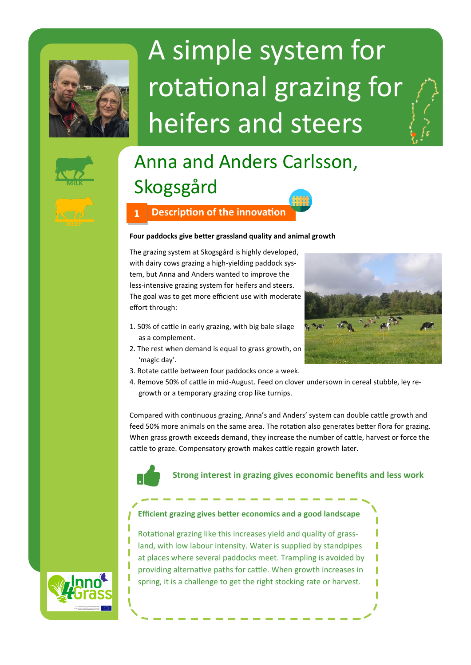

# A simple system for rotational grazing for heifers and steers



# Anna and Anders Carlsson, Skogsgård

## **1 Description of the innovation**

#### **Four paddocks give better grassland quality and animal growth**

The grazing system at Skogsgård is highly developed, with dairy cows grazing a high-yielding paddock system, but Anna and Anders wanted to improve the less-intensive grazing system for heifers and steers. The goal was to get more efficient use with moderate effort through:

- 1. 50% of cattle in early grazing, with big bale silage as a complement.
- 2. The rest when demand is equal to grass growth, on 'magic day'.
- 3. Rotate cattle between four paddocks once a week.



4. Remove 50% of cattle in mid-August. Feed on clover undersown in cereal stubble, ley regrowth or a temporary grazing crop like turnips.

Compared with continuous grazing, Anna's and Anders' system can double cattle growth and feed 50% more animals on the same area. The rotation also generates better flora for grazing. When grass growth exceeds demand, they increase the number of cattle, harvest or force the cattle to graze. Compensatory growth makes cattle regain growth later.



**Strong interest in grazing gives economic benefits and less work** 



**Efficient grazing gives better economics and a good landscape**

Rotational grazing like this increases yield and quality of grassland, with low labour intensity. Water is supplied by standpipes at places where several paddocks meet. Trampling is avoided by providing alternative paths for cattle. When growth increases in spring, it is a challenge to get the right stocking rate or harvest.